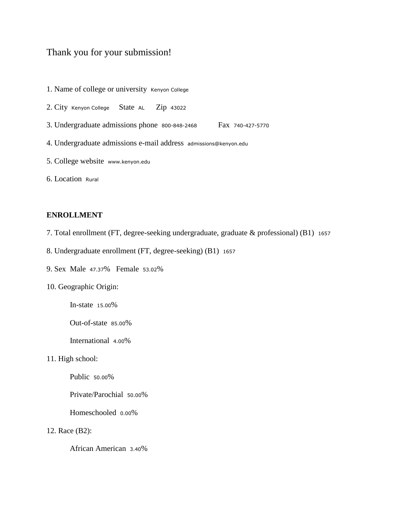# Thank you for your submission!

- 1. Name of college or university Kenyon College
- 2. City Kenyon College State AL Zip <sup>43022</sup>
- 3. Undergraduate admissions phone 800-848-2468 Fax 740-427-5770
- 4. Undergraduate admissions e-mail address admissions@kenyon.edu
- 5. College website www.kenyon.edu
- 6. Location Rural

### **ENROLLMENT**

- 7. Total enrollment (FT, degree-seeking undergraduate, graduate & professional) (B1) <sup>1657</sup>
- 8. Undergraduate enrollment (FT, degree-seeking) (B1) <sup>1657</sup>
- 9. Sex Male 47.37% Female 53.02%
- 10. Geographic Origin:
	- In-state 15.00%
	- Out-of-state 85.00%
	- International 4.00%
- 11. High school:
	- Public 50.00%
	- Private/Parochial 50.00%
	- Homeschooled 0.00%
- 12. Race (B2):
	- African American 3.40%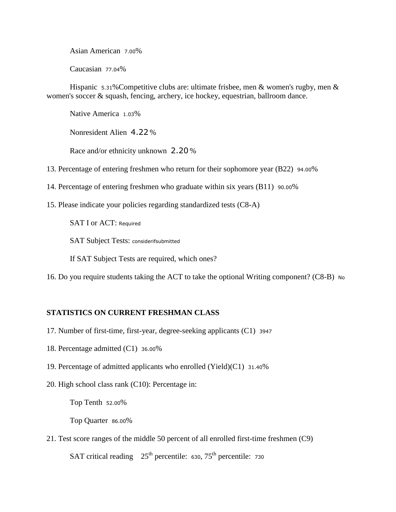Asian American 7.00%

Caucasian 77.04%

Hispanic 5.31% Competitive clubs are: ultimate frisbee, men & women's rugby, men & women's soccer & squash, fencing, archery, ice hockey, equestrian, ballroom dance.

Native America 1.03%

Nonresident Alien 4.22 %

Race and/or ethnicity unknown 2.20 %

13. Percentage of entering freshmen who return for their sophomore year (B22) 94.00%

14. Percentage of entering freshmen who graduate within six years (B11) 90.00%

15. Please indicate your policies regarding standardized tests (C8-A)

SAT I or ACT: Required

SAT Subject Tests: considerifsubmitted

If SAT Subject Tests are required, which ones?

16. Do you require students taking the ACT to take the optional Writing component? (C8-B) No

### **STATISTICS ON CURRENT FRESHMAN CLASS**

- 17. Number of first-time, first-year, degree-seeking applicants (C1) <sup>3947</sup>
- 18. Percentage admitted (C1) 36.00%
- 19. Percentage of admitted applicants who enrolled (Yield)(C1) 31.40%
- 20. High school class rank (C10): Percentage in:

Top Tenth 52.00%

Top Quarter 86.00%

21. Test score ranges of the middle 50 percent of all enrolled first-time freshmen (C9)

SAT critical reading  $25<sup>th</sup>$  percentile: 630,  $75<sup>th</sup>$  percentile: 730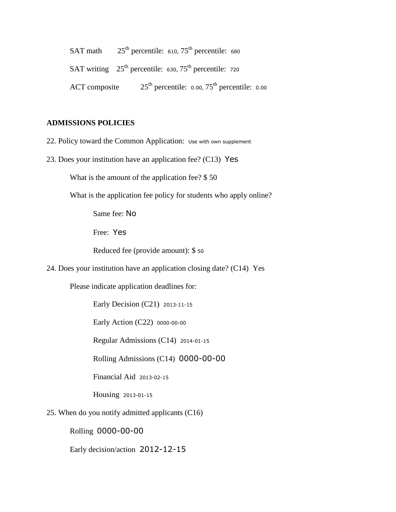|               | SAT math $25th$ percentile: 610, $75th$ percentile: 680              |  |
|---------------|----------------------------------------------------------------------|--|
|               | SAT writing $25th$ percentile: 630, 75 <sup>th</sup> percentile: 720 |  |
| ACT composite | $25th$ percentile: 0.00, $75th$ percentile: 0.00                     |  |

### **ADMISSIONS POLICIES**

- 22. Policy toward the Common Application: Use with own supplement
- 23. Does your institution have an application fee? (C13) Yes

What is the amount of the application fee? \$ 50

What is the application fee policy for students who apply online?

Same fee: No

Free: Yes

Reduced fee (provide amount): \$ <sup>50</sup>

24. Does your institution have an application closing date? (C14) Yes

Please indicate application deadlines for:

Early Decision (C21) 2013-11-15

Early Action (C22) 0000-00-00

Regular Admissions (C14) 2014-01-15

Rolling Admissions (C14) 0000-00-00

Financial Aid 2013-02-15

Housing 2013-01-15

25. When do you notify admitted applicants (C16)

Rolling 0000-00-00

Early decision/action 2012-12-15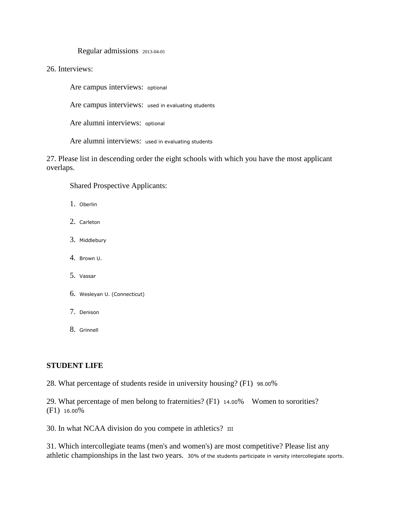Regular admissions 2013-04-01

26. Interviews:

Are campus interviews: optional

Are campus interviews: used in evaluating students

Are alumni interviews: optional

Are alumni interviews: used in evaluating students

27. Please list in descending order the eight schools with which you have the most applicant overlaps.

Shared Prospective Applicants:

- 1. Oberlin
- 2. Carleton
- 3. Middlebury
- 4. Brown U.
- 5. Vassar
- 6. Wesleyan U. (Connecticut)
- 7. Denison
- 8. Grinnell

#### **STUDENT LIFE**

28. What percentage of students reside in university housing? (F1) 98.00%

29. What percentage of men belong to fraternities? (F1) 14.00% Women to sororities? (F1) 16.00%

30. In what NCAA division do you compete in athletics? III

31. Which intercollegiate teams (men's and women's) are most competitive? Please list any athletic championships in the last two years. 30% of the students participate in varsity intercollegiate sports.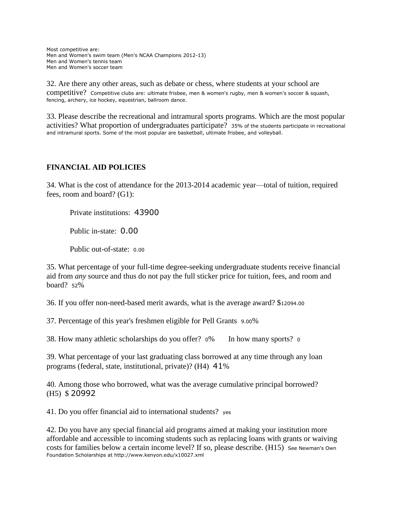Most competitive are: Men and Women's swim team (Men's NCAA Champions 2012-13) Men and Women's tennis team Men and Women's soccer team

32. Are there any other areas, such as debate or chess, where students at your school are competitive? Competitive clubs are: ultimate frisbee, men & women's rugby, men & women's soccer & squash, fencing, archery, ice hockey, equestrian, ballroom dance.

33. Please describe the recreational and intramural sports programs. Which are the most popular activities? What proportion of undergraduates participate? 35% of the students participate in recreational and intramural sports. Some of the most popular are basketball, ultimate frisbee, and volleyball.

## **FINANCIAL AID POLICIES**

34. What is the cost of attendance for the 2013-2014 academic year—total of tuition, required fees, room and board? (G1):

Private institutions: 43900

Public in-state: 0.00

Public out-of-state: 0.00

35. What percentage of your full-time degree-seeking undergraduate students receive financial aid from *any* source and thus do not pay the full sticker price for tuition, fees, and room and board? <sup>52</sup>%

36. If you offer non-need-based merit awards, what is the average award? \$12094.00

37. Percentage of this year's freshmen eligible for Pell Grants 9.00%

38. How many athletic scholarships do you offer? 0% In how many sports? 0

39. What percentage of your last graduating class borrowed at any time through any loan programs (federal, state, institutional, private)? (H4) 41%

40. Among those who borrowed, what was the average cumulative principal borrowed? (H5) \$ 20992

41. Do you offer financial aid to international students? yes

42. Do you have any special financial aid programs aimed at making your institution more affordable and accessible to incoming students such as replacing loans with grants or waiving costs for families below a certain income level? If so, please describe. (H15) See Newman's Own Foundation Scholarships at http://www.kenyon.edu/x10027.xml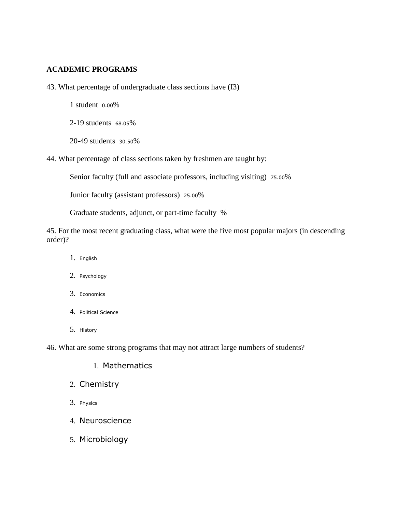### **ACADEMIC PROGRAMS**

43. What percentage of undergraduate class sections have (I3)

1 student 0.00%

2-19 students 68.05%

20-49 students 30.50%

44. What percentage of class sections taken by freshmen are taught by:

Senior faculty (full and associate professors, including visiting) 75.00%

Junior faculty (assistant professors) 25.00%

Graduate students, adjunct, or part-time faculty %

45. For the most recent graduating class, what were the five most popular majors (in descending order)?

- 1. English
- 2. Psychology
- 3. Economics
- 4. Political Science
- 5. History

46. What are some strong programs that may not attract large numbers of students?

### 1. Mathematics

- 2. Chemistry
- 3. Physics
- 4. Neuroscience
- 5. Microbiology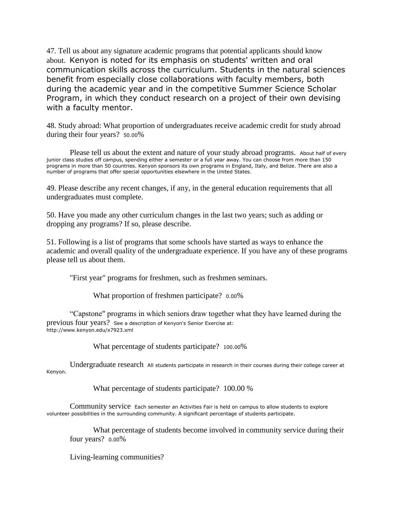47. Tell us about any signature academic programs that potential applicants should know about. Kenyon is noted for its emphasis on students' written and oral communication skills across the curriculum. Students in the natural sciences benefit from especially close collaborations with faculty members, both during the academic year and in the competitive Summer Science Scholar Program, in which they conduct research on a project of their own devising with a faculty mentor.

48. Study abroad: What proportion of undergraduates receive academic credit for study abroad during their four years? 50.00%

 Please tell us about the extent and nature of your study abroad programs. About half of every junior class studies off campus, spending either a semester or a full year away. You can choose from more than 150 programs in more than 50 countries. Kenyon sponsors its own programs in England, Italy, and Belize. There are also a number of programs that offer special opportunities elsewhere in the United States.

49. Please describe any recent changes, if any, in the general education requirements that all undergraduates must complete.

50. Have you made any other curriculum changes in the last two years; such as adding or dropping any programs? If so, please describe.

51. Following is a list of programs that some schools have started as ways to enhance the academic and overall quality of the undergraduate experience. If you have any of these programs please tell us about them.

"First year" programs for freshmen, such as freshmen seminars.

What proportion of freshmen participate? 0.00%

 "Capstone" programs in which seniors draw together what they have learned during the previous four years? See a description of Kenyon's Senior Exercise at: http://www.kenyon.edu/x7923.xml

What percentage of students participate? 100.00%

 Undergraduate research All students participate in research in their courses during their college career at Kenyon.

What percentage of students participate? 100.00 %

 Community service Each semester an Activities Fair is held on campus to allow students to explore volunteer possibilities in the surrounding community. A significant percentage of students participate.

What percentage of students become involved in community service during their four years? 0.00%

Living-learning communities?